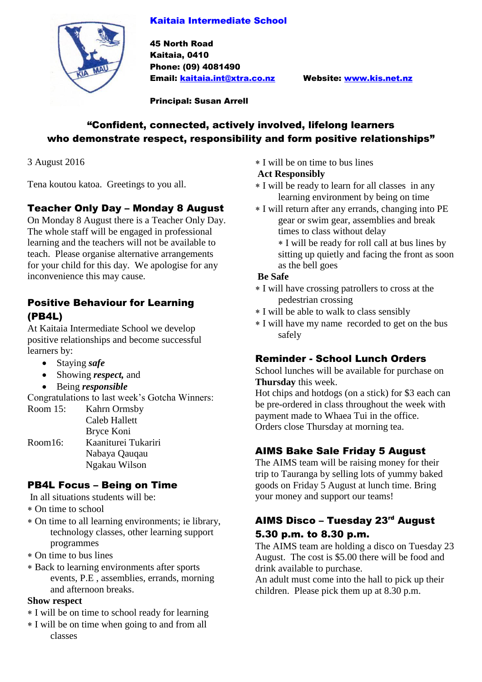### Kaitaia Intermediate School



45 North Road Kaitaia, 0410 Phone: (09) 4081490 Email: [kaitaia.int@xtra.co.nz](mailto:kaitaia.int@xtra.co.nz) Website: [www.kis.net.nz](http://www.kis.net.nz/)

Principal: Susan Arrell

## "Confident, connected, actively involved, lifelong learners who demonstrate respect, responsibility and form positive relationships"

3 August 2016

Tena koutou katoa. Greetings to you all.

# Teacher Only Day – Monday 8 August

On Monday 8 August there is a Teacher Only Day. The whole staff will be engaged in professional learning and the teachers will not be available to teach. Please organise alternative arrangements for your child for this day. We apologise for any inconvenience this may cause.

## Positive Behaviour for Learning (PB4L)

At Kaitaia Intermediate School we develop positive relationships and become successful learners by:

- Staying *safe*
- Showing *respect,* and
- Being *responsible*

Congratulations to last week's Gotcha Winners:

| Room 15: | Kahrn Ormsby         |
|----------|----------------------|
|          | <b>Caleb Hallett</b> |
|          | Bryce Koni           |
| Room16:  | Kaaniturei Tukariri  |
|          | Nabaya Qauqau        |
|          | Ngakau Wilson        |
|          |                      |

# PB4L Focus – Being on Time

In all situations students will be:

- On time to school
- On time to all learning environments; ie library, technology classes, other learning support programmes
- On time to bus lines
- Back to learning environments after sports events, P.E , assemblies, errands, morning and afternoon breaks.

#### **Show respect**

- I will be on time to school ready for learning
- I will be on time when going to and from all classes

I will be on time to bus lines

## **Act Responsibly**

- I will be ready to learn for all classes in any learning environment by being on time
- I will return after any errands, changing into PE gear or swim gear, assemblies and break times to class without delay

 I will be ready for roll call at bus lines by sitting up quietly and facing the front as soon as the bell goes

#### **Be Safe**

- I will have crossing patrollers to cross at the pedestrian crossing
- I will be able to walk to class sensibly
- I will have my name recorded to get on the bus safely

## Reminder - School Lunch Orders

School lunches will be available for purchase on **Thursday** this week.

Hot chips and hotdogs (on a stick) for \$3 each can be pre-ordered in class throughout the week with payment made to Whaea Tui in the office. Orders close Thursday at morning tea.

# AIMS Bake Sale Friday 5 August

The AIMS team will be raising money for their trip to Tauranga by selling lots of yummy baked goods on Friday 5 August at lunch time. Bring your money and support our teams!

## AIMS Disco - Tuesday 23rd August 5.30 p.m. to 8.30 p.m.

The AIMS team are holding a disco on Tuesday 23 August. The cost is \$5.00 there will be food and drink available to purchase.

An adult must come into the hall to pick up their children. Please pick them up at 8.30 p.m.